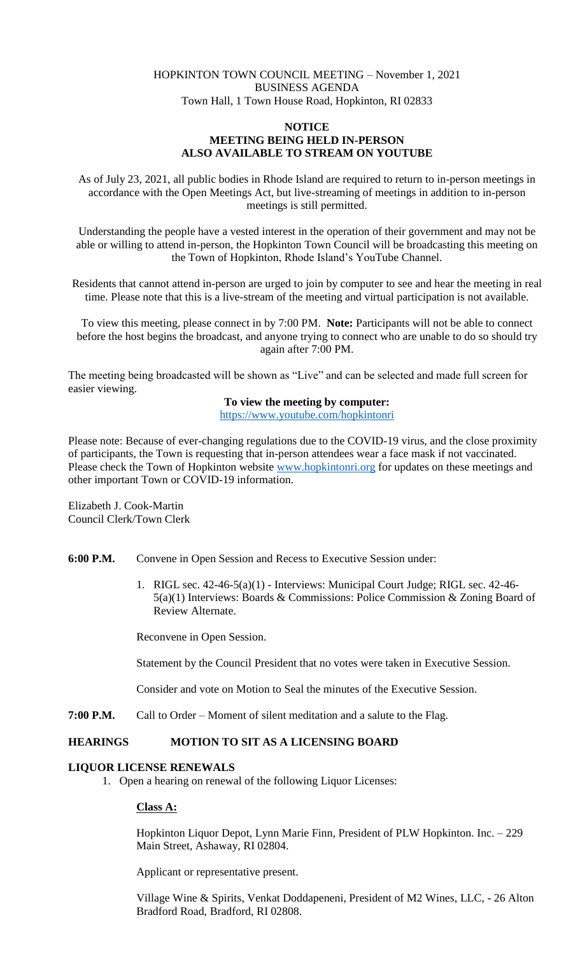## HOPKINTON TOWN COUNCIL MEETING – November 1, 2021 BUSINESS AGENDA Town Hall, 1 Town House Road, Hopkinton, RI 02833

## **NOTICE MEETING BEING HELD IN-PERSON ALSO AVAILABLE TO STREAM ON YOUTUBE**

As of July 23, 2021, all public bodies in Rhode Island are required to return to in-person meetings in accordance with the Open Meetings Act, but live-streaming of meetings in addition to in-person meetings is still permitted.

Understanding the people have a vested interest in the operation of their government and may not be able or willing to attend in-person, the Hopkinton Town Council will be broadcasting this meeting on the Town of Hopkinton, Rhode Island's YouTube Channel.

Residents that cannot attend in-person are urged to join by computer to see and hear the meeting in real time. Please note that this is a live-stream of the meeting and virtual participation is not available.

To view this meeting, please connect in by 7:00 PM. **Note:** Participants will not be able to connect before the host begins the broadcast, and anyone trying to connect who are unable to do so should try again after 7:00 PM.

The meeting being broadcasted will be shown as "Live" and can be selected and made full screen for easier viewing.

## **To view the meeting by computer:**

<https://www.youtube.com/hopkintonri>

Please note: Because of ever-changing regulations due to the COVID-19 virus, and the close proximity of participants, the Town is requesting that in-person attendees wear a face mask if not vaccinated. Please check the Town of Hopkinton website [www.hopkintonri.org](http://www.hopkintonri.org/) for updates on these meetings and other important Town or COVID-19 information.

Elizabeth J. Cook-Martin Council Clerk/Town Clerk

- **6:00 P.M.** Convene in Open Session and Recess to Executive Session under:
	- 1. RIGL sec. 42-46-5(a)(1) Interviews: Municipal Court Judge; RIGL sec. 42-46- 5(a)(1) Interviews: Boards & Commissions: Police Commission & Zoning Board of Review Alternate.

Reconvene in Open Session.

Statement by the Council President that no votes were taken in Executive Session.

Consider and vote on Motion to Seal the minutes of the Executive Session.

**7:00 P.M.** Call to Order – Moment of silent meditation and a salute to the Flag.

## **HEARINGS MOTION TO SIT AS A LICENSING BOARD**

## **LIQUOR LICENSE RENEWALS**

1. Open a hearing on renewal of the following Liquor Licenses:

## **Class A:**

Hopkinton Liquor Depot, Lynn Marie Finn, President of PLW Hopkinton. Inc. – 229 Main Street, Ashaway, RI 02804.

Applicant or representative present.

Village Wine & Spirits, Venkat Doddapeneni, President of M2 Wines, LLC, - 26 Alton Bradford Road, Bradford, RI 02808.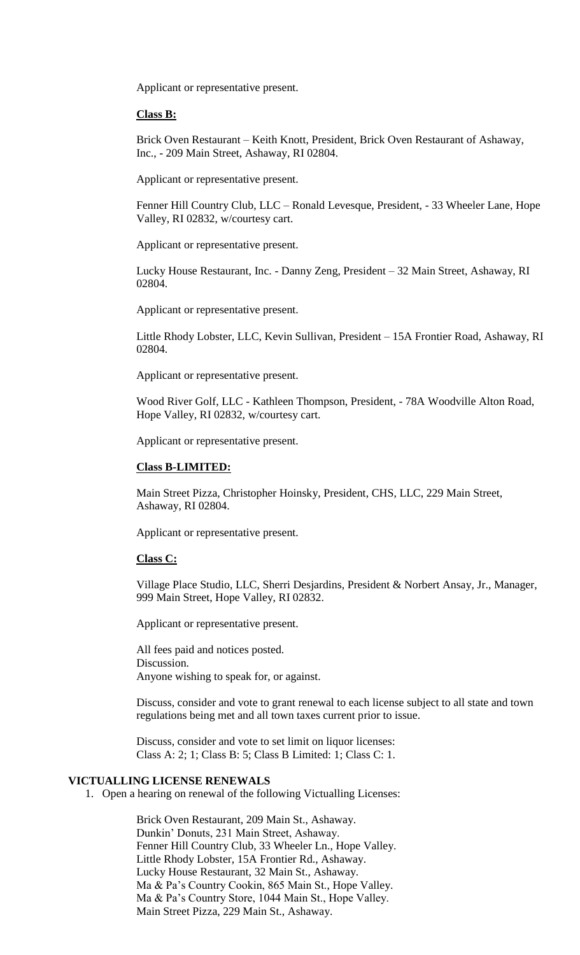Applicant or representative present.

### **Class B:**

Brick Oven Restaurant – Keith Knott, President, Brick Oven Restaurant of Ashaway, Inc., - 209 Main Street, Ashaway, RI 02804.

Applicant or representative present.

Fenner Hill Country Club, LLC – Ronald Levesque, President, - 33 Wheeler Lane, Hope Valley, RI 02832, w/courtesy cart.

Applicant or representative present.

Lucky House Restaurant, Inc. - Danny Zeng, President – 32 Main Street, Ashaway, RI 02804.

Applicant or representative present.

Little Rhody Lobster, LLC, Kevin Sullivan, President – 15A Frontier Road, Ashaway, RI 02804.

Applicant or representative present.

Wood River Golf, LLC - Kathleen Thompson, President, - 78A Woodville Alton Road, Hope Valley, RI 02832, w/courtesy cart.

Applicant or representative present.

#### **Class B-LIMITED:**

Main Street Pizza, Christopher Hoinsky, President, CHS, LLC, 229 Main Street, Ashaway, RI 02804.

Applicant or representative present.

#### **Class C:**

Village Place Studio, LLC, Sherri Desjardins, President & Norbert Ansay, Jr., Manager, 999 Main Street, Hope Valley, RI 02832.

Applicant or representative present.

All fees paid and notices posted. Discussion. Anyone wishing to speak for, or against.

Discuss, consider and vote to grant renewal to each license subject to all state and town regulations being met and all town taxes current prior to issue.

Discuss, consider and vote to set limit on liquor licenses: Class A: 2; 1; Class B: 5; Class B Limited: 1; Class C: 1.

#### **VICTUALLING LICENSE RENEWALS**

1. Open a hearing on renewal of the following Victualling Licenses:

Brick Oven Restaurant, 209 Main St., Ashaway. Dunkin' Donuts, 231 Main Street, Ashaway. Fenner Hill Country Club, 33 Wheeler Ln., Hope Valley. Little Rhody Lobster, 15A Frontier Rd., Ashaway. Lucky House Restaurant, 32 Main St., Ashaway. Ma & Pa's Country Cookin, 865 Main St., Hope Valley. Ma & Pa's Country Store, 1044 Main St., Hope Valley. Main Street Pizza, 229 Main St., Ashaway.